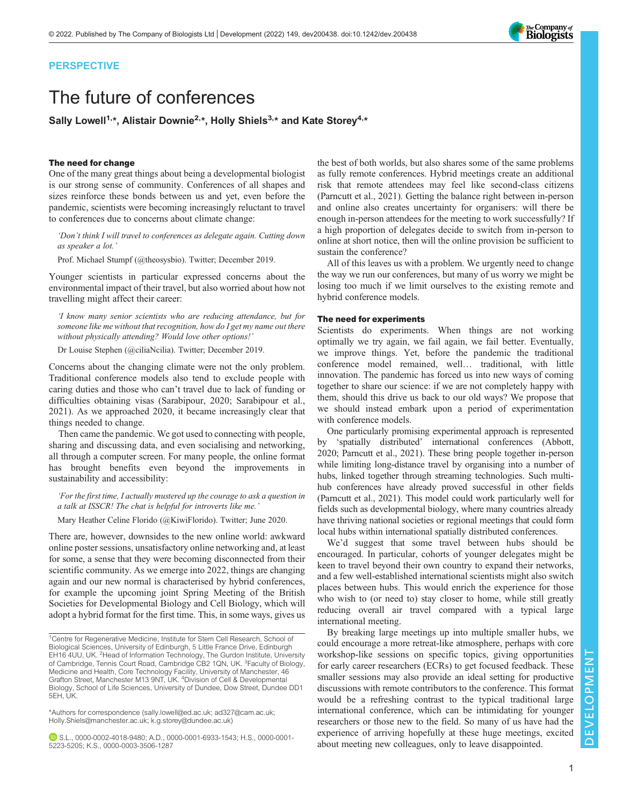## PERSPECTIVE

# The future of conferences

Sally Lowell<sup>1,\*</sup>, Alistair Downie<sup>2,\*</sup>, Holly Shiels<sup>3,\*</sup> and Kate Storey<sup>4,\*</sup>

## The need for change

One of the many great things about being a developmental biologist is our strong sense of community. Conferences of all shapes and sizes reinforce these bonds between us and yet, even before the pandemic, scientists were becoming increasingly reluctant to travel to conferences due to concerns about climate change:

'Don't think I will travel to conferences as delegate again. Cutting down as speaker a lot.'

Prof. Michael Stumpf (@theosysbio). Twitter; December 2019.

Younger scientists in particular expressed concerns about the environmental impact of their travel, but also worried about how not travelling might affect their career:

'I know many senior scientists who are reducing attendance, but for someone like me without that recognition, how do I get my name out there without physically attending? Would love other options!'

Dr Louise Stephen (@ciliaNcilia). Twitter; December 2019.

Concerns about the changing climate were not the only problem. Traditional conference models also tend to exclude people with caring duties and those who can't travel due to lack of funding or difficulties obtaining visas ([Sarabipour, 2020; Sarabipour et al.,](#page-2-0) [2021](#page-2-0)). As we approached 2020, it became increasingly clear that things needed to change.

Then came the pandemic. We got used to connecting with people, sharing and discussing data, and even socialising and networking, all through a computer screen. For many people, the online format has brought benefits even beyond the improvements in sustainability and accessibility:

'For the first time, I actually mustered up the courage to ask a question in a talk at ISSCR! The chat is helpful for introverts like me.'

Mary Heather Celine Florido (@KiwiFlorido). Twitter; June 2020.

There are, however, downsides to the new online world: awkward online poster sessions, unsatisfactory online networking and, at least for some, a sense that they were becoming disconnected from their scientific community. As we emerge into 2022, things are changing again and our new normal is characterised by hybrid conferences, for example the upcoming joint Spring Meeting of the British Societies for Developmental Biology and Cell Biology, which will adopt a hybrid format for the first time. This, in some ways, gives us

\*Authors for correspondence ([sally.lowell@ed.ac.uk](mailto:sally.lowell@ed.ac.uk); [ad327@cam.ac.uk;](mailto:ad327@cam.ac.uk) [Holly.Shiels@manchester.ac.uk;](mailto:Holly.�Shiels@manchester.ac.uk) [k.g.storey@dundee.ac.uk\)](mailto:k.g.storey@dundee.ac.uk)

S.L., [0000-0002-4018-9480;](http://orcid.org/0000-0002-4018-9480) A.D., [0000-0001-6933-1543;](http://orcid.org/0000-0001-6933-1543) H.S., [0000-0001-](http://orcid.org/0000-0001-5223-5205) [5223-5205](http://orcid.org/0000-0001-5223-5205); K.S., [0000-0003-3506-1287](http://orcid.org/0000-0003-3506-1287)

the best of both worlds, but also shares some of the same problems as fully remote conferences. Hybrid meetings create an additional risk that remote attendees may feel like second-class citizens [\(Parncutt et al., 2021\)](#page-2-0). Getting the balance right between in-person and online also creates uncertainty for organisers: will there be enough in-person attendees for the meeting to work successfully? If a high proportion of delegates decide to switch from in-person to online at short notice, then will the online provision be sufficient to sustain the conference?

All of this leaves us with a problem. We urgently need to change the way we run our conferences, but many of us worry we might be losing too much if we limit ourselves to the existing remote and hybrid conference models.

## The need for experiments

Scientists do experiments. When things are not working optimally we try again, we fail again, we fail better. Eventually, we improve things. Yet, before the pandemic the traditional conference model remained, well… traditional, with little innovation. The pandemic has forced us into new ways of coming together to share our science: if we are not completely happy with them, should this drive us back to our old ways? We propose that we should instead embark upon a period of experimentation with conference models.

One particularly promising experimental approach is represented by 'spatially distributed' international conferences [\(Abbott,](#page-2-0) [2020; Parncutt et al., 2021](#page-2-0)). These bring people together in-person while limiting long-distance travel by organising into a number of hubs, linked together through streaming technologies. Such multihub conferences have already proved successful in other fields [\(Parncutt et al., 2021\)](#page-2-0). This model could work particularly well for fields such as developmental biology, where many countries already have thriving national societies or regional meetings that could form local hubs within international spatially distributed conferences.

We'd suggest that some travel between hubs should be encouraged. In particular, cohorts of younger delegates might be keen to travel beyond their own country to expand their networks, and a few well-established international scientists might also switch places between hubs. This would enrich the experience for those who wish to (or need to) stay closer to home, while still greatly reducing overall air travel compared with a typical large international meeting.

By breaking large meetings up into multiple smaller hubs, we could encourage a more retreat-like atmosphere, perhaps with core workshop-like sessions on specific topics, giving opportunities for early career researchers (ECRs) to get focused feedback. These smaller sessions may also provide an ideal setting for productive discussions with remote contributors to the conference. This format would be a refreshing contrast to the typical traditional large international conference, which can be intimidating for younger researchers or those new to the field. So many of us have had the experience of arriving hopefully at these huge meetings, excited about meeting new colleagues, only to leave disappointed.



<sup>&</sup>lt;sup>1</sup>Centre for Regenerative Medicine, Institute for Stem Cell Research, School of Biological Sciences, University of Edinburgh, 5 Little France Drive, Edinburgh EH16 4UU, UK. <sup>2</sup> Head of Information Technology, The Gurdon Institute, University of Cambridge, Tennis Court Road, Cambridge CB2 1QN, UK. <sup>3</sup>Faculty of Biology, Medicine and Health, Core Technology Facility, University of Manchester, 46 Grafton Street, Manchester M13 9NT, UK. <sup>4</sup> Division of Cell & Developmental Biology, School of Life Sciences, University of Dundee, Dow Street, Dundee DD1 5EH, UK.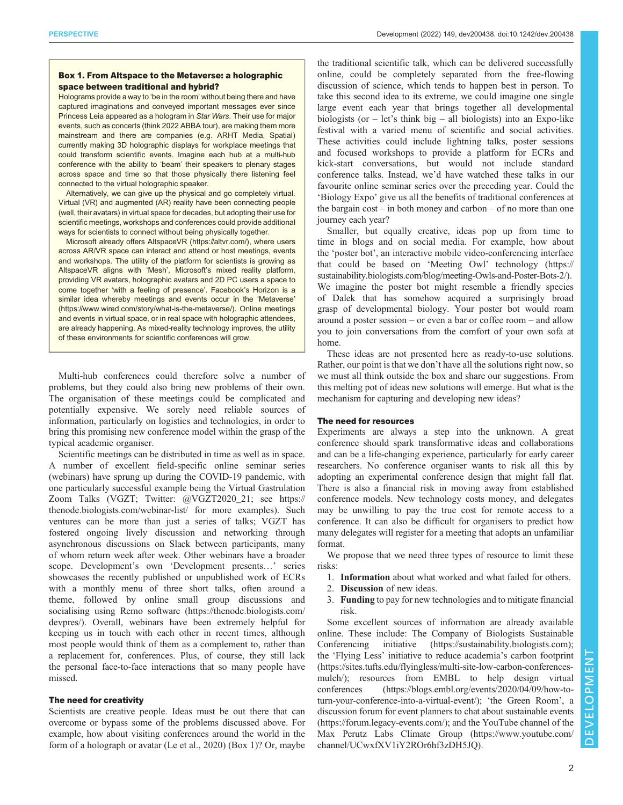## Box 1. From Altspace to the Metaverse: a holographic space between traditional and hybrid?

Holograms provide a way to 'be in the room' without being there and have captured imaginations and conveyed important messages ever since Princess Leia appeared as a hologram in Star Wars. Their use for major events, such as concerts (think 2022 ABBA tour), are making them more mainstream and there are companies (e.g. ARHT Media, Spatial) currently making 3D holographic displays for workplace meetings that could transform scientific events. Imagine each hub at a multi-hub conference with the ability to 'beam' their speakers to plenary stages across space and time so that those physically there listening feel connected to the virtual holographic speaker.

Alternatively, we can give up the physical and go completely virtual. Virtual (VR) and augmented (AR) reality have been connecting people (well, their avatars) in virtual space for decades, but adopting their use for scientific meetings, workshops and conferences could provide additional ways for scientists to connect without being physically together.

Microsoft already offers AltspaceVR (https://altvr.com/), where users across AR/VR space can interact and attend or host meetings, events and workshops. The utility of the platform for scientists is growing as AltspaceVR aligns with 'Mesh', Microsoft's mixed reality platform, providing VR avatars, holographic avatars and 2D PC users a space to come together 'with a feeling of presence'. Facebook's Horizon is a similar idea whereby meetings and events occur in the 'Metaverse' (https://www.wired.com/story/what-is-the-metaverse/). Online meetings and events in virtual space, or in real space with holographic attendees, are already happening. As mixed-reality technology improves, the utility of these environments for scientific conferences will grow.

Multi-hub conferences could therefore solve a number of problems, but they could also bring new problems of their own. The organisation of these meetings could be complicated and potentially expensive. We sorely need reliable sources of information, particularly on logistics and technologies, in order to bring this promising new conference model within the grasp of the typical academic organiser.

Scientific meetings can be distributed in time as well as in space. A number of excellent field-specific online seminar series (webinars) have sprung up during the COVID-19 pandemic, with one particularly successful example being the Virtual Gastrulation Zoom Talks (VGZT; Twitter: @VGZT2020\_21; see [https://](https://thenode.biologists.com/webinar-list/) [thenode.biologists.com/webinar-list/](https://thenode.biologists.com/webinar-list/) for more examples). Such ventures can be more than just a series of talks; VGZT has fostered ongoing lively discussion and networking through asynchronous discussions on Slack between participants, many of whom return week after week. Other webinars have a broader scope. Development's own 'Development presents…' series showcases the recently published or unpublished work of ECRs with a monthly menu of three short talks, often around a theme, followed by online small group discussions and socialising using Remo software ([https://thenode.biologists.com/](https://thenode.biologists.com/devpres/) [devpres/\)](https://thenode.biologists.com/devpres/). Overall, webinars have been extremely helpful for keeping us in touch with each other in recent times, although most people would think of them as a complement to, rather than a replacement for, conferences. Plus, of course, they still lack the personal face-to-face interactions that so many people have missed.

### The need for creativity

Scientists are creative people. Ideas must be out there that can overcome or bypass some of the problems discussed above. For example, how about visiting conferences around the world in the form of a holograph or avatar [\(Le et al., 2020\)](#page-2-0) (Box 1)? Or, maybe

the traditional scientific talk, which can be delivered successfully online, could be completely separated from the free-flowing discussion of science, which tends to happen best in person. To take this second idea to its extreme, we could imagine one single large event each year that brings together all developmental biologists (or  $-$  let's think big  $-$  all biologists) into an Expo-like festival with a varied menu of scientific and social activities. These activities could include lightning talks, poster sessions and focused workshops to provide a platform for ECRs and kick-start conversations, but would not include standard conference talks. Instead, we'd have watched these talks in our favourite online seminar series over the preceding year. Could the 'Biology Expo' give us all the benefits of traditional conferences at the bargain cost – in both money and carbon – of no more than one journey each year?

Smaller, but equally creative, ideas pop up from time to time in blogs and on social media. For example, how about the 'poster bot', an interactive mobile video-conferencing interface that could be based on 'Meeting Owl' technology ([https://](https://sustainability.biologists.com/blog/meeting-Owls-and-Poster-Bots-2/) [sustainability.biologists.com/blog/meeting-Owls-and-Poster-Bots-2/](https://sustainability.biologists.com/blog/meeting-Owls-and-Poster-Bots-2/)). We imagine the poster bot might resemble a friendly species of Dalek that has somehow acquired a surprisingly broad grasp of developmental biology. Your poster bot would roam around a poster session – or even a bar or coffee room – and allow you to join conversations from the comfort of your own sofa at home.

These ideas are not presented here as ready-to-use solutions. Rather, our point is that we don't have all the solutions right now, so we must all think outside the box and share our suggestions. From this melting pot of ideas new solutions will emerge. But what is the mechanism for capturing and developing new ideas?

## The need for resources

Experiments are always a step into the unknown. A great conference should spark transformative ideas and collaborations and can be a life-changing experience, particularly for early career researchers. No conference organiser wants to risk all this by adopting an experimental conference design that might fall flat. There is also a financial risk in moving away from established conference models. New technology costs money, and delegates may be unwilling to pay the true cost for remote access to a conference. It can also be difficult for organisers to predict how many delegates will register for a meeting that adopts an unfamiliar format.

We propose that we need three types of resource to limit these risks:

- 1. Information about what worked and what failed for others.
- 2. Discussion of new ideas.
- 3. Funding to pay for new technologies and to mitigate financial risk.

Some excellent sources of information are already available online. These include: The Company of Biologists Sustainable Conferencing initiative (<https://sustainability.biologists.com>); the 'Flying Less' initiative to reduce academia's carbon footprint [\(https://sites.tufts.edu/flyingless/multi-site-low-carbon-conferences](https://sites.tufts.edu/flyingless/multi-site-low-carbon-conferences-mulch/)[mulch/\)](https://sites.tufts.edu/flyingless/multi-site-low-carbon-conferences-mulch/); resources from EMBL to help design virtual conferences ([https://blogs.embl.org/events/2020/04/09/how-to](https://blogs.embl.org/events/2020/04/09/how-to-turn-your-conference-into-a-virtual-event/)[turn-your-conference-into-a-virtual-event/](https://blogs.embl.org/events/2020/04/09/how-to-turn-your-conference-into-a-virtual-event/)); 'the Green Room', a discussion forum for event planners to chat about sustainable events [\(https://forum.legacy-events.com/\)](https://forum.legacy-events.com/); and the YouTube channel of the Max Perutz Labs Climate Group ([https://www.youtube.com/](https://www.youtube.com/channel/UCwxfXV1iY2ROr6hf3zDH5JQ) [channel/UCwxfXV1iY2ROr6hf3zDH5JQ\)](https://www.youtube.com/channel/UCwxfXV1iY2ROr6hf3zDH5JQ).